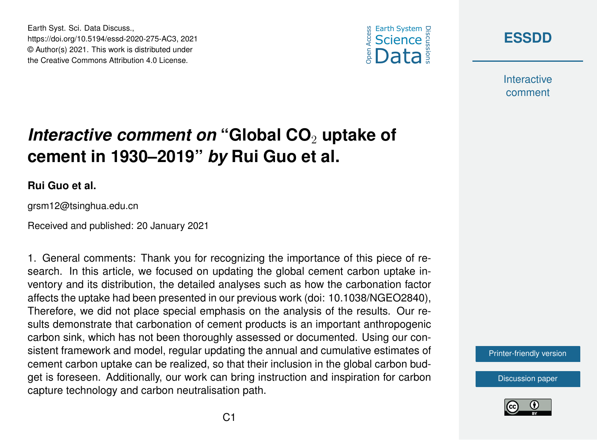





**Interactive** comment

## *Interactive comment on* "Global CO<sub>2</sub> uptake of **cement in 1930–2019"** *by* **Rui Guo et al.**

## **Rui Guo et al.**

grsm12@tsinghua.edu.cn

Received and published: 20 January 2021

1. General comments: Thank you for recognizing the importance of this piece of research. In this article, we focused on updating the global cement carbon uptake inventory and its distribution, the detailed analyses such as how the carbonation factor affects the uptake had been presented in our previous work (doi: 10.1038/NGEO2840), Therefore, we did not place special emphasis on the analysis of the results. Our results demonstrate that carbonation of cement products is an important anthropogenic carbon sink, which has not been thoroughly assessed or documented. Using our consistent framework and model, regular updating the annual and cumulative estimates of cement carbon uptake can be realized, so that their inclusion in the global carbon budget is foreseen. Additionally, our work can bring instruction and inspiration for carbon capture technology and carbon neutralisation path.

[Printer-friendly version](https://essd.copernicus.org/preprints/essd-2020-275/essd-2020-275-AC3-print.pdf)

[Discussion paper](https://essd.copernicus.org/preprints/essd-2020-275)